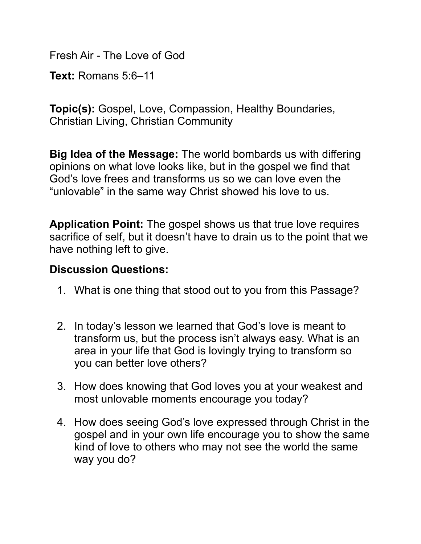Fresh Air - The Love of God

**Text:** Romans 5:6–11

**Topic(s):** Gospel, Love, Compassion, Healthy Boundaries, Christian Living, Christian Community

**Big Idea of the Message:** The world bombards us with differing opinions on what love looks like, but in the gospel we find that God's love frees and transforms us so we can love even the "unlovable" in the same way Christ showed his love to us.

**Application Point:** The gospel shows us that true love requires sacrifice of self, but it doesn't have to drain us to the point that we have nothing left to give.

## **Discussion Questions:**

- 1. What is one thing that stood out to you from this Passage?
- 2. In today's lesson we learned that God's love is meant to transform us, but the process isn't always easy. What is an area in your life that God is lovingly trying to transform so you can better love others?
- 3. How does knowing that God loves you at your weakest and most unlovable moments encourage you today?
- 4. How does seeing God's love expressed through Christ in the gospel and in your own life encourage you to show the same kind of love to others who may not see the world the same way you do?